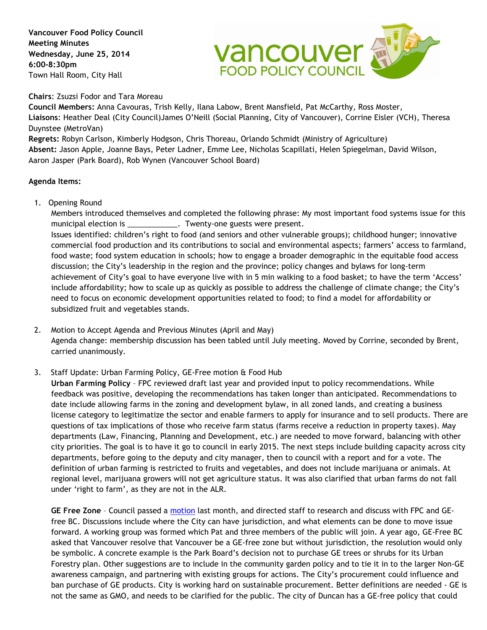**Vancouver Food Policy Council Meeting Minutes Wednesday, June 25, 2014 6:00-8:30pm** Town Hall Room, City Hall



**Chairs**: Zsuzsi Fodor and Tara Moreau

**Council Members:** Anna Cavouras, Trish Kelly, Ilana Labow, Brent Mansfield, Pat McCarthy, Ross Moster, **Liaisons**: Heather Deal (City Council)James O'Neill (Social Planning, City of Vancouver), Corrine Eisler (VCH), Theresa Duynstee (MetroVan)

**Regrets:** Robyn Carlson, Kimberly Hodgson, Chris Thoreau, Orlando Schmidt (Ministry of Agriculture) **Absent:** Jason Apple, Joanne Bays, Peter Ladner, Emme Lee, Nicholas Scapillati, Helen Spiegelman, David Wilson, Aaron Jasper (Park Board), Rob Wynen (Vancouver School Board)

## **Agenda Items:**

1. Opening Round

Members introduced themselves and completed the following phrase: My most important food systems issue for this municipal election is \_\_\_\_\_\_\_\_\_\_\_\_\_\_. Twenty-one guests were present. Issues identified: children's right to food (and seniors and other vulnerable groups); childhood hunger; innovative commercial food production and its contributions to social and environmental aspects; farmers' access to farmland, food waste; food system education in schools; how to engage a broader demographic in the equitable food access discussion; the City's leadership in the region and the province; policy changes and bylaws for long-term achievement of City's goal to have everyone live with in 5 min walking to a food basket; to have the term 'Access' include affordability; how to scale up as quickly as possible to address the challenge of climate change; the City's need to focus on economic development opportunities related to food; to find a model for affordability or subsidized fruit and vegetables stands.

- 2. Motion to Accept Agenda and Previous Minutes (April and May) Agenda change: membership discussion has been tabled until July meeting. Moved by Corrine, seconded by Brent, carried unanimously.
- 3. Staff Update: Urban Farming Policy, GE-Free motion & Food Hub

**Urban Farming Policy** – FPC reviewed draft last year and provided input to policy recommendations. While feedback was positive, developing the recommendations has taken longer than anticipated. Recommendations to date include allowing farms in the zoning and development bylaw, in all zoned lands, and creating a business license category to legitimatize the sector and enable farmers to apply for insurance and to sell products. There are questions of tax implications of those who receive farm status (farms receive a reduction in property taxes). May departments (Law, Financing, Planning and Development, etc.) are needed to move forward, balancing with other city priorities. The goal is to have it go to council in early 2015. The next steps include building capacity across city departments, before going to the deputy and city manager, then to council with a report and for a vote. The definition of urban farming is restricted to fruits and vegetables, and does not include marijuana or animals. At regional level, marijuana growers will not get agriculture status. It was also clarified that urban farms do not fall under 'right to farm', as they are not in the ALR.

**GE Free Zone** – Council passed a [motion](http://former.vancouver.ca/ctyclerk/cclerk/20140527/documents/motionb3.pdf) last month, and directed staff to research and discuss with FPC and GEfree BC. Discussions include where the City can have jurisdiction, and what elements can be done to move issue forward. A working group was formed which Pat and three members of the public will join. A year ago, GE-Free BC asked that Vancouver resolve that Vancouver be a GE-free zone but without jurisdiction, the resolution would only be symbolic. A concrete example is the Park Board's decision not to purchase GE trees or shrubs for its Urban Forestry plan. Other suggestions are to include in the community garden policy and to tie it in to the larger Non-GE awareness campaign, and partnering with existing groups for actions. The City's procurement could influence and ban purchase of GE products. City is working hard on sustainable procurement. Better definitions are needed - GE is not the same as GMO, and needs to be clarified for the public. The city of Duncan has a GE-free policy that could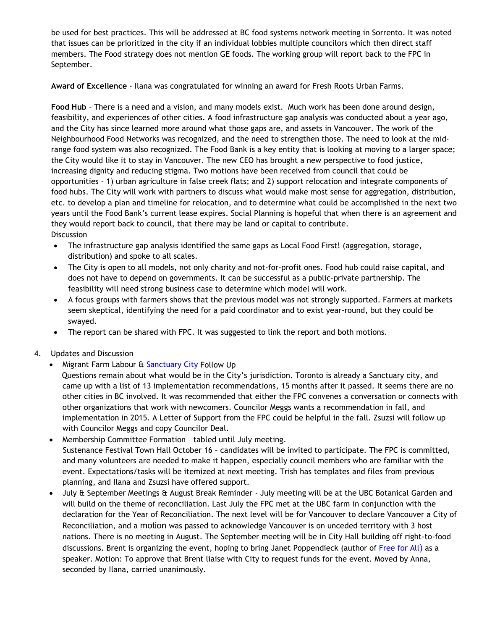be used for best practices. This will be addressed at BC food systems network meeting in Sorrento. It was noted that issues can be prioritized in the city if an individual lobbies multiple councilors which then direct staff members. The Food strategy does not mention GE foods. The working group will report back to the FPC in September.

**Award of Excellence** - Ilana was congratulated for winning an award for Fresh Roots Urban Farms.

**Food Hub** – There is a need and a vision, and many models exist. Much work has been done around design, feasibility, and experiences of other cities. A food infrastructure gap analysis was conducted about a year ago, and the City has since learned more around what those gaps are, and assets in Vancouver. The work of the Neighbourhood Food Networks was recognized, and the need to strengthen those. The need to look at the midrange food system was also recognized. The Food Bank is a key entity that is looking at moving to a larger space; the City would like it to stay in Vancouver. The new CEO has brought a new perspective to food justice, increasing dignity and reducing stigma. Two motions have been received from council that could be opportunities – 1) urban agriculture in false creek flats; and 2) support relocation and integrate components of food hubs. The City will work with partners to discuss what would make most sense for aggregation, distribution, etc. to develop a plan and timeline for relocation, and to determine what could be accomplished in the next two years until the Food Bank's current lease expires. Social Planning is hopeful that when there is an agreement and they would report back to council, that there may be land or capital to contribute. **Discussion** 

- The infrastructure gap analysis identified the same gaps as Local Food First! (aggregation, storage, distribution) and spoke to all scales.
- The City is open to all models, not only charity and not-for-profit ones. Food hub could raise capital, and does not have to depend on governments. It can be successful as a public-private partnership. The feasibility will need strong business case to determine which model will work.
- A focus groups with farmers shows that the previous model was not strongly supported. Farmers at markets seem skeptical, identifying the need for a paid coordinator and to exist year-round, but they could be swayed.
- The report can be shared with FPC. It was suggested to link the report and both motions.
- 4. Updates and Discussion
	- Migrant Farm Labour & [Sanctuary City](http://en.wikipedia.org/wiki/Sanctuary_city) Follow Up

 Questions remain about what would be in the City's jurisdiction. Toronto is already a Sanctuary city, and came up with a list of 13 implementation recommendations, 15 months after it passed. It seems there are no other cities in BC involved. It was recommended that either the FPC convenes a conversation or connects with other organizations that work with newcomers. Councilor Meggs wants a recommendation in fall, and implementation in 2015. A Letter of Support from the FPC could be helpful in the fall. Zsuzsi will follow up with Councilor Meggs and copy Councilor Deal.

- Membership Committee Formation tabled until July meeting. Sustenance Festival Town Hall October 16 – candidates will be invited to participate. The FPC is committed, and many volunteers are needed to make it happen, especially council members who are familiar with the event. Expectations/tasks will be itemized at next meeting. Trish has templates and files from previous planning, and Ilana and Zsuzsi have offered support.
- July & September Meetings & August Break Reminder July meeting will be at the UBC Botanical Garden and will build on the theme of reconciliation. Last July the FPC met at the UBC farm in conjunction with the declaration for the Year of Reconciliation. The next level will be for Vancouver to declare Vancouver a City of Reconciliation, and a [motion](http://former.vancouver.ca/ctyclerk/cclerk/20140624/documents/motionb3.pdf) was passed to acknowledge Vancouver is on unceded territory with 3 host nations. There is no meeting in August. The September meeting will be in City Hall building off right-to-food discussions. Brent is organizing the event, hoping to bring Janet Poppendieck (author of [Free for All](http://books.google.ca/books?id=Y-sq2iWuLagC&source=gbs_ViewAPI&redir_esc=y)) as a speaker. Motion: To approve that Brent liaise with City to request funds for the event. Moved by Anna, seconded by Ilana, carried unanimously.